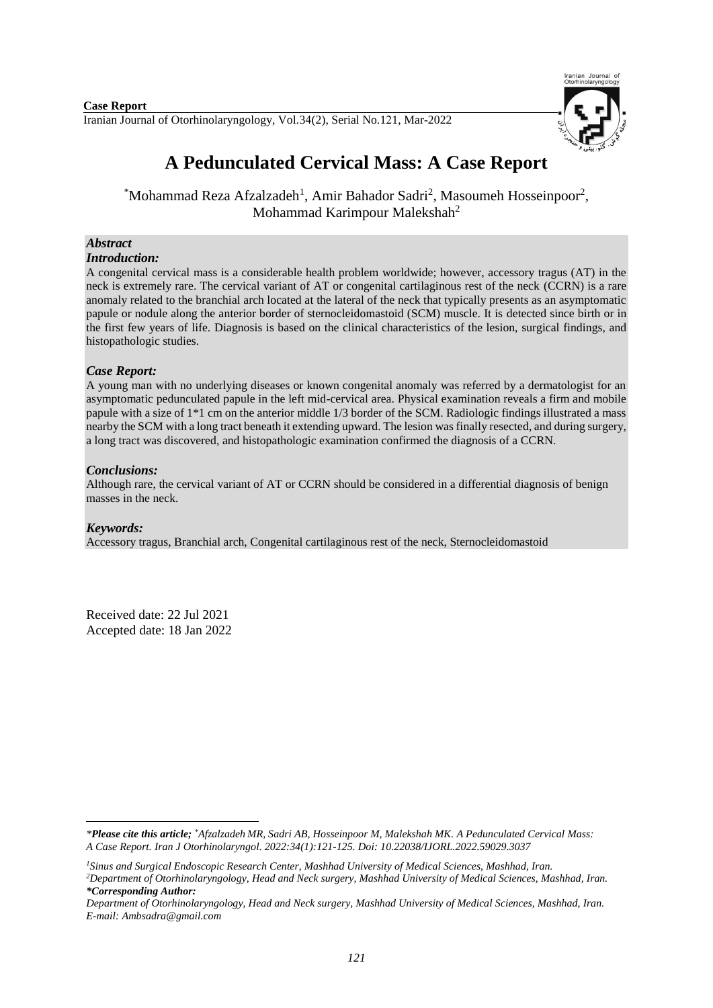Iranian Journal of Otorhinolaryngology, Vol.34(2), Serial No.121, Mar-2022 **Case Report**



# **A Pedunculated Cervical Mass: A Case Report**

\*Mohammad Reza Afzalzadeh<sup>1</sup>, Amir Bahador Sadri<sup>2</sup>, Masoumeh Hosseinpoor<sup>2</sup>, Mohammad Karimpour Malekshah<sup>2</sup>

## *Abstract*

#### *Introduction:*

A congenital cervical mass is a considerable health problem worldwide; however, accessory tragus (AT) in the neck is extremely rare. The cervical variant of AT or congenital cartilaginous rest of the neck (CCRN) is a rare anomaly related to the branchial arch located at the lateral of the neck that typically presents as an asymptomatic papule or nodule along the anterior border of sternocleidomastoid (SCM) muscle. It is detected since birth or in the first few years of life. Diagnosis is based on the clinical characteristics of the lesion, surgical findings, and histopathologic studies.

### *Case Report:*

A young man with no underlying diseases or known congenital anomaly was referred by a dermatologist for an asymptomatic pedunculated papule in the left mid-cervical area. Physical examination reveals a firm and mobile papule with a size of 1\*1 cm on the anterior middle 1/3 border of the SCM. Radiologic findings illustrated a mass nearby the SCM with a long tract beneath it extending upward. The lesion was finally resected, and during surgery, a long tract was discovered, and histopathologic examination confirmed the diagnosis of a CCRN.

#### *Conclusions:*

Although rare, the cervical variant of AT or CCRN should be considered in a differential diagnosis of benign masses in the neck.

#### *Keywords:*

1

Accessory tragus, Branchial arch, Congenital cartilaginous rest of the neck, Sternocleidomastoid

Received date: 22 Jul 2021 Accepted date: 18 Jan 2022

*<sup>\*</sup>Please cite this article; \*Afzalzadeh MR, Sadri AB, Hosseinpoor M, Malekshah MK. A Pedunculated Cervical Mass: A Case Report. [Iran J Otorhinolaryngol.](https://www.ncbi.nlm.nih.gov/pubmed/?term=Tri-layer+Tympanoplasty+as+a+New+Technique+in+High-risk+Tympanic+Membrane+Perforations) 2022:34(1):121-125. Doi: 10.22038/IJORL.2022.59029.3037*

*<sup>1</sup>Sinus and Surgical Endoscopic Research Center, Mashhad University of Medical Sciences, Mashhad, Iran. <sup>2</sup>Department of Otorhinolaryngology, Head and Neck surgery, Mashhad University of Medical Sciences, Mashhad, Iran. \*Corresponding Author:*

*Department of Otorhinolaryngology, Head and Neck surgery, Mashhad University of Medical Sciences, Mashhad, Iran. E-mail[: Ambsadra@gmail.com](mailto:Ambsadra@gmail.com)*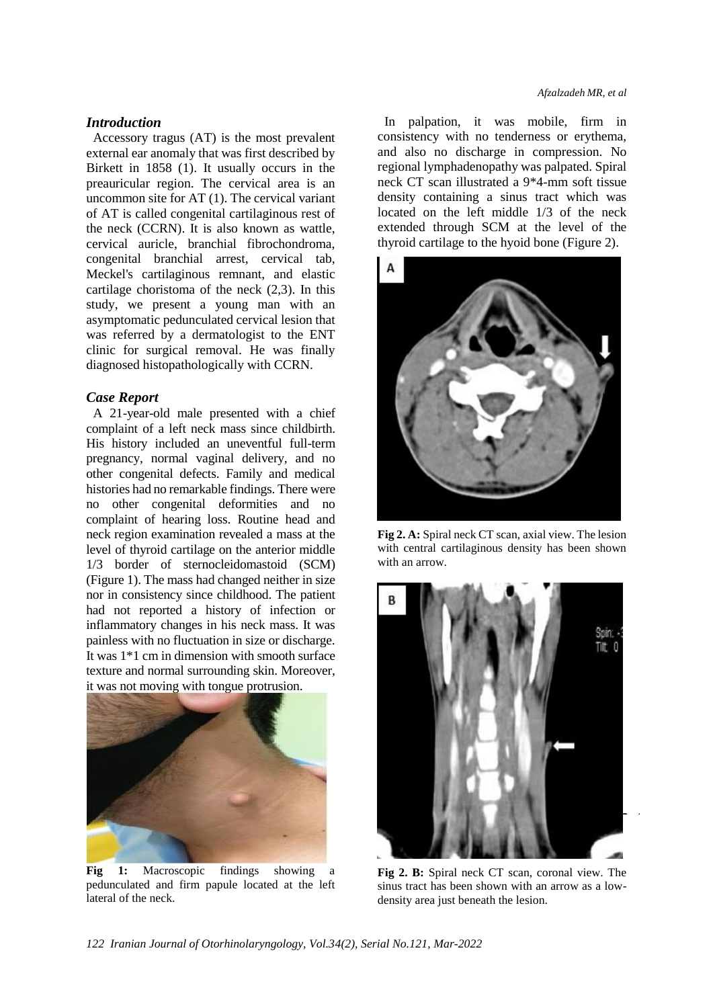### *Introduction*

Accessory tragus (AT) is the most prevalent external ear anomaly that was first described by Birkett in 1858 (1). It usually occurs in the preauricular region. The cervical area is an uncommon site for AT (1). The cervical variant of AT is called congenital cartilaginous rest of the neck (CCRN). It is also known as wattle, cervical auricle, branchial fibrochondroma, congenital branchial arrest, cervical tab, Meckel's cartilaginous remnant, and elastic cartilage choristoma of the neck (2,3). In this study, we present a young man with an asymptomatic pedunculated cervical lesion that was referred by a dermatologist to the ENT clinic for surgical removal. He was finally diagnosed histopathologically with CCRN.

## *Case Report*

A 21-year-old male presented with a chief complaint of a left neck mass since childbirth. His history included an uneventful full-term pregnancy, normal vaginal delivery, and no other congenital defects. Family and medical histories had no remarkable findings. There were no other congenital deformities and no complaint of hearing loss. Routine head and neck region examination revealed a mass at the level of thyroid cartilage on the anterior middle 1/3 border of sternocleidomastoid (SCM) (Figure 1). The mass had changed neither in size nor in consistency since childhood. The patient had not reported a history of infection or inflammatory changes in his neck mass. It was painless with no fluctuation in size or discharge. It was 1\*1 cm in dimension with smooth surface texture and normal surrounding skin. Moreover, it was not moving with tongue protrusion.



**Fig 1:** Macroscopic findings showing a pedunculated and firm papule located at the left lateral of the neck.

In palpation, it was mobile, firm in consistency with no tenderness or erythema, and also no discharge in compression. No regional lymphadenopathy was palpated. Spiral neck CT scan illustrated a 9\*4-mm soft tissue density containing a sinus tract which was located on the left middle 1/3 of the neck extended through SCM at the level of the thyroid cartilage to the hyoid bone (Figure 2).



**Fig 2. A:** Spiral neck CT scan, axial view. The lesion with central cartilaginous density has been shown with an arrow.



**Fig 2. B:** Spiral neck CT scan, coronal view. The sinus tract has been shown with an arrow as a lowdensity area just beneath the lesion.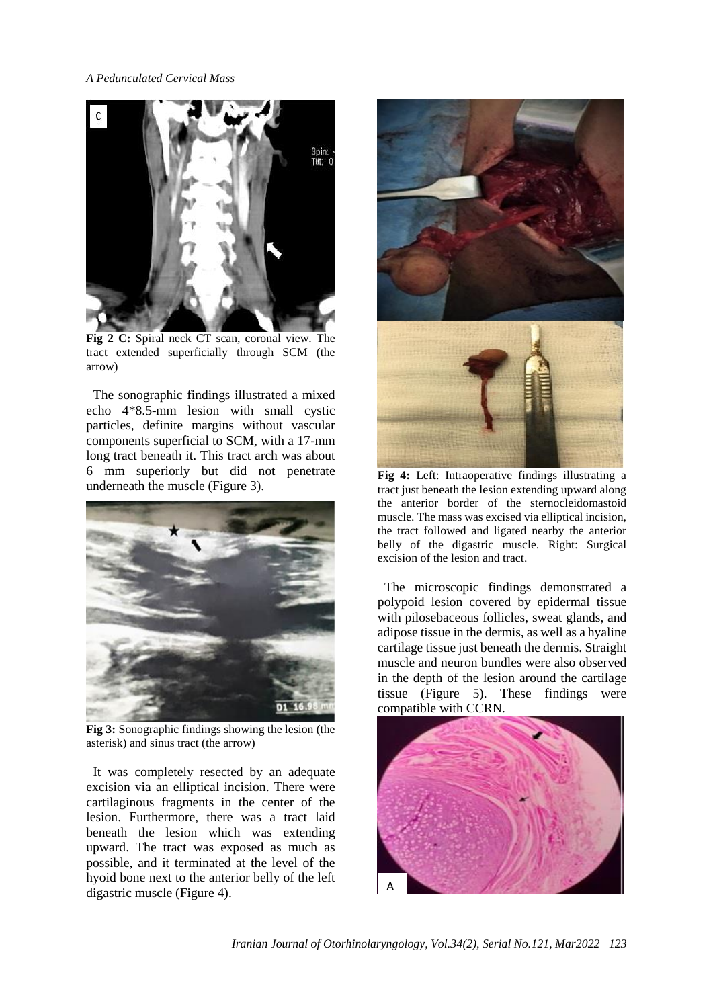*A Pedunculated Cervical Mass*



**Fig 2 C:** Spiral neck CT scan, coronal view. The tract extended superficially through SCM (the arrow)

The sonographic findings illustrated a mixed echo 4\*8.5-mm lesion with small cystic particles, definite margins without vascular components superficial to SCM, with a 17-mm long tract beneath it. This tract arch was about 6 mm superiorly but did not penetrate underneath the muscle (Figure 3).



**Fig 3:** Sonographic findings showing the lesion (the asterisk) and sinus tract (the arrow)

It was completely resected by an adequate excision via an elliptical incision. There were cartilaginous fragments in the center of the lesion. Furthermore, there was a tract laid beneath the lesion which was extending upward. The tract was exposed as much as possible, and it terminated at the level of the hyoid bone next to the anterior belly of the left digastric muscle (Figure 4).





**Fig 4:** Left: Intraoperative findings illustrating a tract just beneath the lesion extending upward along the anterior border of the sternocleidomastoid muscle. The mass was excised via elliptical incision, the tract followed and ligated nearby the anterior belly of the digastric muscle. Right: Surgical excision of the lesion and tract.

The microscopic findings demonstrated a polypoid lesion covered by epidermal tissue with pilosebaceous follicles, sweat glands, and adipose tissue in the dermis, as well as a hyaline cartilage tissue just beneath the dermis. Straight muscle and neuron bundles were also observed in the depth of the lesion around the cartilage tissue (Figure 5). These findings were compatible with CCRN.

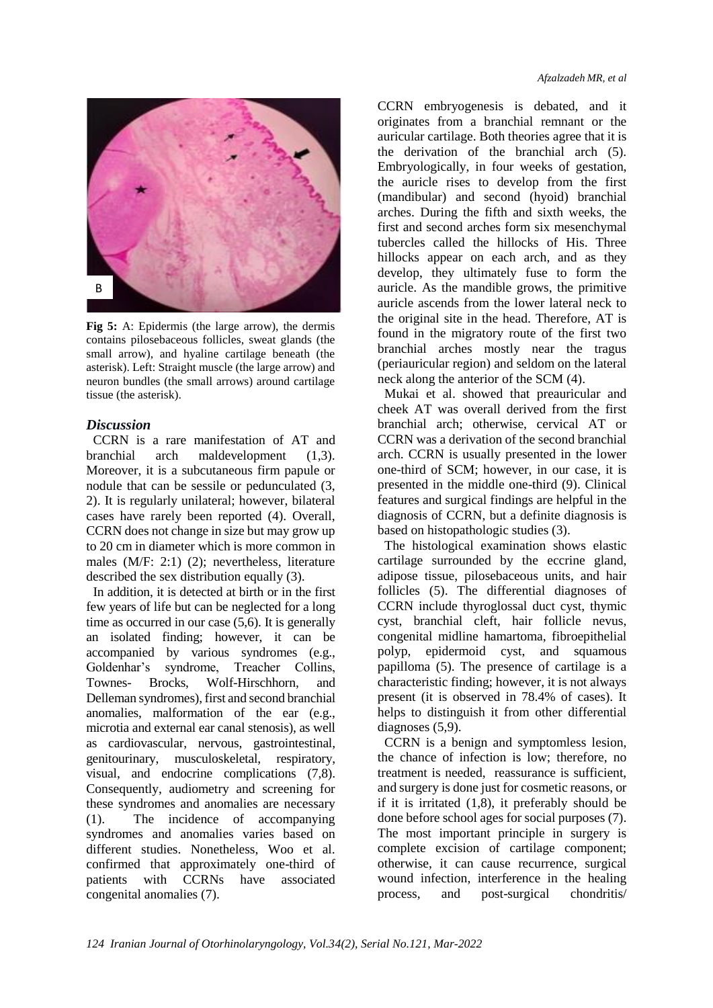

**Fig 5:** A: Epidermis (the large arrow), the dermis contains pilosebaceous follicles, sweat glands (the small arrow), and hyaline cartilage beneath (the asterisk). Left: Straight muscle (the large arrow) and neuron bundles (the small arrows) around cartilage tissue (the asterisk).

## *Discussion*

CCRN is a rare manifestation of AT and branchial arch maldevelopment (1,3). Moreover, it is a subcutaneous firm papule or nodule that can be sessile or pedunculated (3, 2). It is regularly unilateral; however, bilateral cases have rarely been reported (4). Overall, CCRN does not change in size but may grow up to 20 cm in diameter which is more common in males (M/F: 2:1) (2); nevertheless, literature described the sex distribution equally (3).

In addition, it is detected at birth or in the first few years of life but can be neglected for a long time as occurred in our case (5,6). It is generally an isolated finding; however, it can be accompanied by various syndromes (e.g., Goldenhar's syndrome, Treacher Collins, Townes- Brocks, Wolf-Hirschhorn, and Delleman syndromes), first and second branchial anomalies, malformation of the ear (e.g., microtia and external ear canal stenosis), as well as cardiovascular, nervous, gastrointestinal, genitourinary, musculoskeletal, respiratory, visual, and endocrine complications (7,8). Consequently, audiometry and screening for these syndromes and anomalies are necessary (1). The incidence of accompanying syndromes and anomalies varies based on different studies. Nonetheless, Woo et al. confirmed that approximately one-third of patients with CCRNs have associated congenital anomalies (7).

CCRN embryogenesis is debated, and it originates from a branchial remnant or the auricular cartilage. Both theories agree that it is the derivation of the branchial arch (5). Embryologically, in four weeks of gestation, the auricle rises to develop from the first (mandibular) and second (hyoid) branchial arches. During the fifth and sixth weeks, the first and second arches form six mesenchymal tubercles called the hillocks of His. Three hillocks appear on each arch, and as they develop, they ultimately fuse to form the auricle. As the mandible grows, the primitive auricle ascends from the lower lateral neck to the original site in the head. Therefore, AT is found in the migratory route of the first two branchial arches mostly near the tragus (periauricular region) and seldom on the lateral neck along the anterior of the SCM (4).

Mukai et al. showed that preauricular and cheek AT was overall derived from the first branchial arch; otherwise, cervical AT or CCRN was a derivation of the second branchial arch. CCRN is usually presented in the lower one-third of SCM; however, in our case, it is presented in the middle one-third (9). Clinical features and surgical findings are helpful in the diagnosis of CCRN, but a definite diagnosis is based on histopathologic studies (3).

The histological examination shows elastic cartilage surrounded by the eccrine gland, adipose tissue, pilosebaceous units, and hair follicles (5). The differential diagnoses of CCRN include thyroglossal duct cyst, thymic cyst, branchial cleft, hair follicle nevus, congenital midline hamartoma, fibroepithelial polyp, epidermoid cyst, and squamous papilloma (5). The presence of cartilage is a characteristic finding; however, it is not always present (it is observed in 78.4% of cases). It helps to distinguish it from other differential diagnoses (5,9).

CCRN is a benign and symptomless lesion, the chance of infection is low; therefore, no treatment is needed, reassurance is sufficient, and surgery is done just for cosmetic reasons, or if it is irritated (1,8), it preferably should be done before school ages for social purposes (7). The most important principle in surgery is complete excision of cartilage component; otherwise, it can cause recurrence, surgical wound infection, interference in the healing process, and post-surgical chondritis/